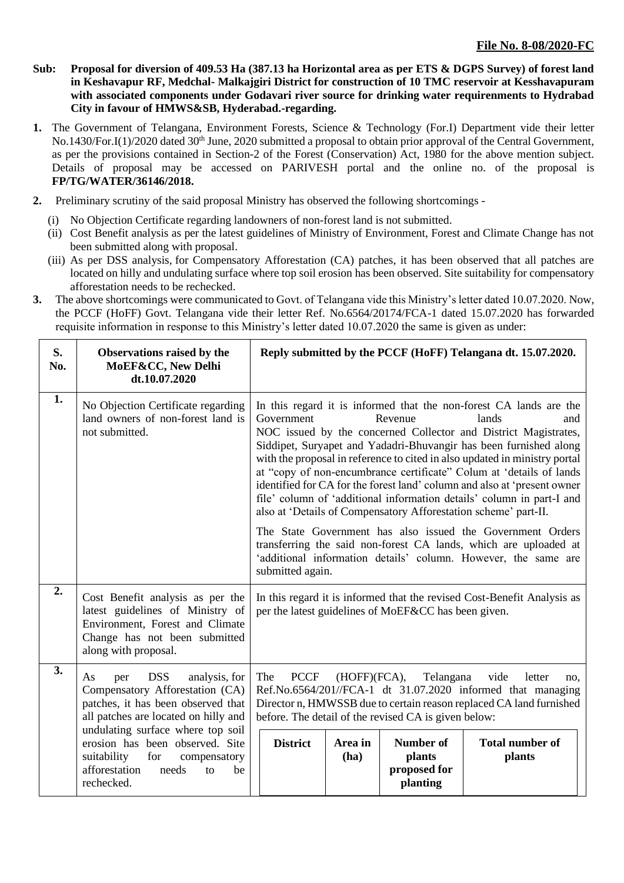- **Sub: Proposal for diversion of 409.53 Ha (387.13 ha Horizontal area as per ETS & DGPS Survey) of forest land in Keshavapur RF, Medchal- Malkajgiri District for construction of 10 TMC reservoir at Kesshavapuram with associated components under Godavari river source for drinking water requirenments to Hydrabad City in favour of HMWS&SB, Hyderabad.-regarding.**
- **1.** The Government of Telangana, Environment Forests, Science & Technology (For.I) Department vide their letter No.1430/For.I(1)/2020 dated 30<sup>th</sup> June, 2020 submitted a proposal to obtain prior approval of the Central Government, as per the provisions contained in Section-2 of the Forest (Conservation) Act, 1980 for the above mention subject. Details of proposal may be accessed on PARIVESH portal and the online no. of the proposal is **FP/TG/WATER/36146/2018.**
- **2.** Preliminary scrutiny of the said proposal Ministry has observed the following shortcomings
	- (i) No Objection Certificate regarding landowners of non-forest land is not submitted.
	- (ii) Cost Benefit analysis as per the latest guidelines of Ministry of Environment, Forest and Climate Change has not been submitted along with proposal.
	- (iii) As per DSS analysis, for Compensatory Afforestation (CA) patches, it has been observed that all patches are located on hilly and undulating surface where top soil erosion has been observed. Site suitability for compensatory afforestation needs to be rechecked.
- **3.** The above shortcomings were communicated to Govt. of Telangana vide this Ministry's letter dated 10.07.2020. Now, the PCCF (HoFF) Govt. Telangana vide their letter Ref. No.6564/20174/FCA-1 dated 15.07.2020 has forwarded requisite information in response to this Ministry's letter dated 10.07.2020 the same is given as under:

| S.<br>No. | Observations raised by the<br>MoEF&CC, New Delhi<br>dt.10.07.2020                                                                                                                              | Reply submitted by the PCCF (HoFF) Telangana dt. 15.07.2020.                                                                                                                                                                                                                                                                                                                                                                                                                                                                                                                                                                                                                                                                                                                                                                                             |                 |                                                        |                                  |  |  |
|-----------|------------------------------------------------------------------------------------------------------------------------------------------------------------------------------------------------|----------------------------------------------------------------------------------------------------------------------------------------------------------------------------------------------------------------------------------------------------------------------------------------------------------------------------------------------------------------------------------------------------------------------------------------------------------------------------------------------------------------------------------------------------------------------------------------------------------------------------------------------------------------------------------------------------------------------------------------------------------------------------------------------------------------------------------------------------------|-----------------|--------------------------------------------------------|----------------------------------|--|--|
| 1.        | No Objection Certificate regarding<br>land owners of non-forest land is<br>not submitted.                                                                                                      | In this regard it is informed that the non-forest CA lands are the<br>Government<br>Revenue<br>lands<br>and<br>NOC issued by the concerned Collector and District Magistrates,<br>Siddipet, Suryapet and Yadadri-Bhuvangir has been furnished along<br>with the proposal in reference to cited in also updated in ministry portal<br>at "copy of non-encumbrance certificate" Colum at 'details of lands<br>identified for CA for the forest land' column and also at 'present owner<br>file' column of 'additional information details' column in part-I and<br>also at 'Details of Compensatory Afforestation scheme' part-II.<br>The State Government has also issued the Government Orders<br>transferring the said non-forest CA lands, which are uploaded at<br>'additional information details' column. However, the same are<br>submitted again. |                 |                                                        |                                  |  |  |
| 2.        | Cost Benefit analysis as per the<br>latest guidelines of Ministry of<br>Environment, Forest and Climate<br>Change has not been submitted<br>along with proposal.                               | In this regard it is informed that the revised Cost-Benefit Analysis as<br>per the latest guidelines of MoEF&CC has been given.                                                                                                                                                                                                                                                                                                                                                                                                                                                                                                                                                                                                                                                                                                                          |                 |                                                        |                                  |  |  |
| 3.        | <b>DSS</b><br>analysis, for<br>As<br>per<br>Compensatory Afforestation (CA)<br>patches, it has been observed that<br>all patches are located on hilly and<br>undulating surface where top soil | The<br><b>PCCF</b><br>(HOFF)(FCA),<br>Telangana<br>vide<br>letter<br>no.<br>Ref.No.6564/201//FCA-1 dt 31.07.2020 informed that managing<br>Director n, HMWSSB due to certain reason replaced CA land furnished<br>before. The detail of the revised CA is given below:                                                                                                                                                                                                                                                                                                                                                                                                                                                                                                                                                                                   |                 |                                                        |                                  |  |  |
|           | erosion has been observed. Site<br>suitability<br>for<br>compensatory<br>afforestation<br>needs<br>be<br>to<br>rechecked.                                                                      | <b>District</b>                                                                                                                                                                                                                                                                                                                                                                                                                                                                                                                                                                                                                                                                                                                                                                                                                                          | Area in<br>(ha) | <b>Number of</b><br>plants<br>proposed for<br>planting | <b>Total number of</b><br>plants |  |  |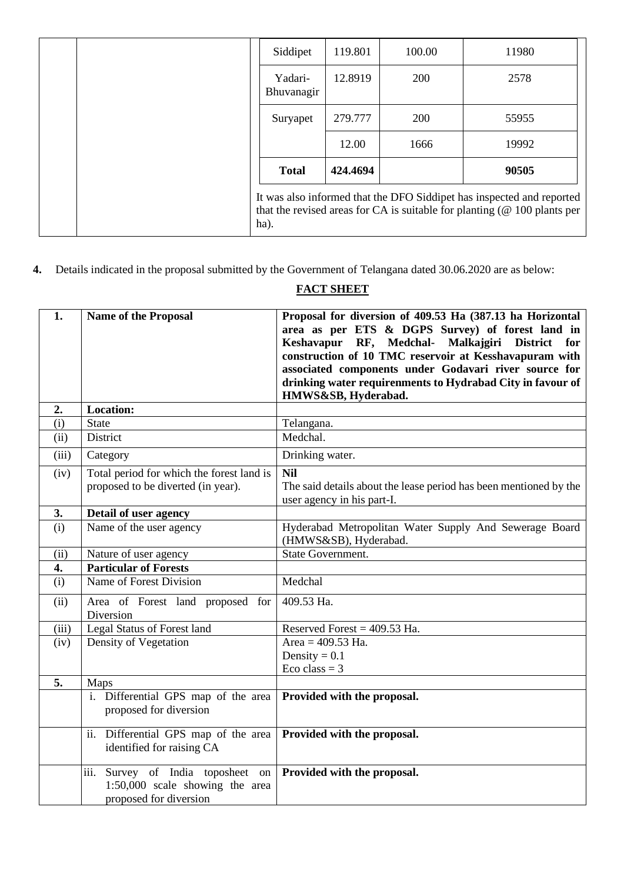| ha).                  |          |        | It was also informed that the DFO Siddipet has inspected and reported<br>that the revised areas for CA is suitable for planting $(@ 100$ plants per |
|-----------------------|----------|--------|-----------------------------------------------------------------------------------------------------------------------------------------------------|
| <b>Total</b>          | 424.4694 |        | 90505                                                                                                                                               |
|                       | 12.00    | 1666   | 19992                                                                                                                                               |
| Suryapet              | 279.777  | 200    | 55955                                                                                                                                               |
| Yadari-<br>Bhuvanagir | 12.8919  | 200    | 2578                                                                                                                                                |
| Siddipet              | 119.801  | 100.00 | 11980                                                                                                                                               |

**4.** Details indicated in the proposal submitted by the Government of Telangana dated 30.06.2020 are as below:

# **FACT SHEET**

| 1.    | <b>Name of the Proposal</b>               | Proposal for diversion of 409.53 Ha (387.13 ha Horizontal         |
|-------|-------------------------------------------|-------------------------------------------------------------------|
|       |                                           | area as per ETS & DGPS Survey) of forest land in                  |
|       |                                           | Keshavapur RF, Medchal-<br>Malkajgiri District<br>for             |
|       |                                           | construction of 10 TMC reservoir at Kesshavapuram with            |
|       |                                           | associated components under Godavari river source for             |
|       |                                           | drinking water requirenments to Hydrabad City in favour of        |
|       |                                           | HMWS&SB, Hyderabad.                                               |
| 2.    | <b>Location:</b>                          |                                                                   |
| (i)   | <b>State</b>                              | Telangana.                                                        |
| (ii)  | District                                  | Medchal.                                                          |
| (iii) | Category                                  | Drinking water.                                                   |
| (iv)  | Total period for which the forest land is | <b>Nil</b>                                                        |
|       | proposed to be diverted (in year).        | The said details about the lease period has been mentioned by the |
|       |                                           | user agency in his part-I.                                        |
| 3.    | Detail of user agency                     |                                                                   |
| (i)   | Name of the user agency                   | Hyderabad Metropolitan Water Supply And Sewerage Board            |
|       |                                           | (HMWS&SB), Hyderabad.                                             |
| (ii)  | Nature of user agency                     | <b>State Government.</b>                                          |
| 4.    | <b>Particular of Forests</b>              |                                                                   |
| (i)   | Name of Forest Division                   | Medchal                                                           |
| (ii)  | Area of Forest land proposed for          | 409.53 Ha.                                                        |
|       | Diversion                                 |                                                                   |
| (iii) | Legal Status of Forest land               | Reserved Forest = $409.53$ Ha.                                    |
| (iv)  | Density of Vegetation                     | Area = $409.53$ Ha.                                               |
|       |                                           | Density = $0.1$                                                   |
|       |                                           | Eco class = $3$                                                   |
| 5.    | Maps                                      |                                                                   |
|       | i. Differential GPS map of the area       | Provided with the proposal.                                       |
|       | proposed for diversion                    |                                                                   |
|       | ii. Differential GPS map of the area      | Provided with the proposal.                                       |
|       | identified for raising CA                 |                                                                   |
|       |                                           |                                                                   |
|       | iii. Survey of India toposheet on         | Provided with the proposal.                                       |
|       | 1:50,000 scale showing the area           |                                                                   |
|       | proposed for diversion                    |                                                                   |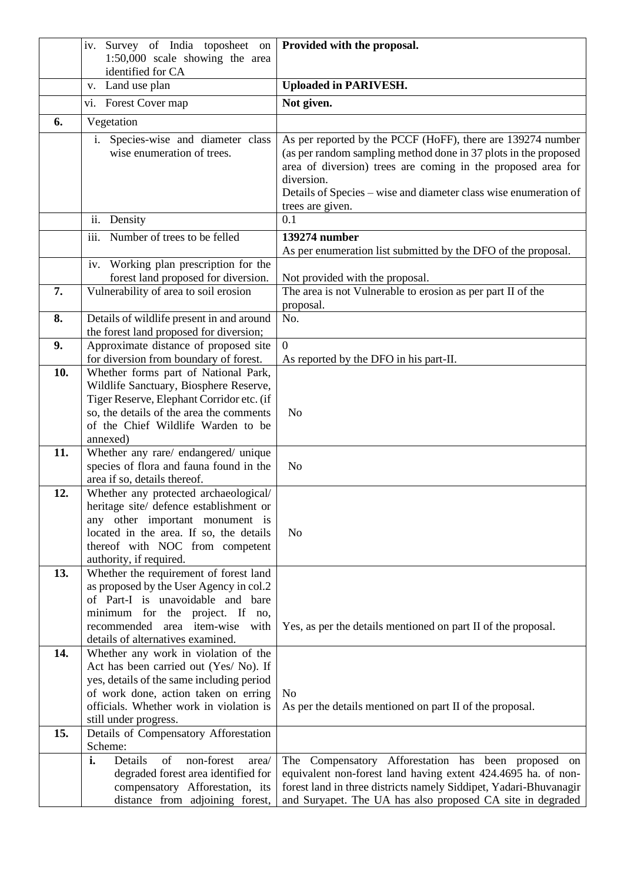|     | iv. Survey of India toposheet on<br>1:50,000 scale showing the area                                                                                                                                                                     | Provided with the proposal.                                                                                                                                                                                                                                                                          |
|-----|-----------------------------------------------------------------------------------------------------------------------------------------------------------------------------------------------------------------------------------------|------------------------------------------------------------------------------------------------------------------------------------------------------------------------------------------------------------------------------------------------------------------------------------------------------|
|     | identified for CA                                                                                                                                                                                                                       |                                                                                                                                                                                                                                                                                                      |
|     | v. Land use plan                                                                                                                                                                                                                        | <b>Uploaded in PARIVESH.</b>                                                                                                                                                                                                                                                                         |
|     | vi. Forest Cover map                                                                                                                                                                                                                    | Not given.                                                                                                                                                                                                                                                                                           |
| 6.  | Vegetation                                                                                                                                                                                                                              |                                                                                                                                                                                                                                                                                                      |
|     | i. Species-wise and diameter class<br>wise enumeration of trees.                                                                                                                                                                        | As per reported by the PCCF (HoFF), there are 139274 number<br>(as per random sampling method done in 37 plots in the proposed<br>area of diversion) trees are coming in the proposed area for<br>diversion.<br>Details of Species – wise and diameter class wise enumeration of<br>trees are given. |
|     | ii. Density                                                                                                                                                                                                                             | 0.1                                                                                                                                                                                                                                                                                                  |
|     | iii.<br>Number of trees to be felled                                                                                                                                                                                                    | 139274 number                                                                                                                                                                                                                                                                                        |
|     |                                                                                                                                                                                                                                         | As per enumeration list submitted by the DFO of the proposal.                                                                                                                                                                                                                                        |
|     | iv. Working plan prescription for the                                                                                                                                                                                                   |                                                                                                                                                                                                                                                                                                      |
|     | forest land proposed for diversion.                                                                                                                                                                                                     | Not provided with the proposal.                                                                                                                                                                                                                                                                      |
| 7.  | Vulnerability of area to soil erosion                                                                                                                                                                                                   | The area is not Vulnerable to erosion as per part II of the<br>proposal.                                                                                                                                                                                                                             |
| 8.  | Details of wildlife present in and around                                                                                                                                                                                               | No.                                                                                                                                                                                                                                                                                                  |
|     | the forest land proposed for diversion;                                                                                                                                                                                                 |                                                                                                                                                                                                                                                                                                      |
| 9.  | Approximate distance of proposed site                                                                                                                                                                                                   | $\overline{0}$                                                                                                                                                                                                                                                                                       |
|     | for diversion from boundary of forest.                                                                                                                                                                                                  | As reported by the DFO in his part-II.                                                                                                                                                                                                                                                               |
| 10. | Whether forms part of National Park,<br>Wildlife Sanctuary, Biosphere Reserve,<br>Tiger Reserve, Elephant Corridor etc. (if<br>so, the details of the area the comments<br>of the Chief Wildlife Warden to be<br>annexed)               | N <sub>o</sub>                                                                                                                                                                                                                                                                                       |
| 11. | Whether any rare/ endangered/ unique<br>species of flora and fauna found in the<br>area if so, details thereof.                                                                                                                         | N <sub>o</sub>                                                                                                                                                                                                                                                                                       |
| 12. | Whether any protected archaeological/<br>heritage site/ defence establishment or<br>any other important monument is<br>located in the area. If so, the details<br>thereof with NOC from competent<br>authority, if required.            | N <sub>o</sub>                                                                                                                                                                                                                                                                                       |
| 13. | Whether the requirement of forest land<br>as proposed by the User Agency in col.2<br>of Part-I is unavoidable and bare<br>minimum for the project. If no,<br>recommended area item-wise with<br>details of alternatives examined.       | Yes, as per the details mentioned on part II of the proposal.                                                                                                                                                                                                                                        |
| 14. | Whether any work in violation of the<br>Act has been carried out (Yes/ No). If<br>yes, details of the same including period<br>of work done, action taken on erring<br>officials. Whether work in violation is<br>still under progress. | No<br>As per the details mentioned on part II of the proposal.                                                                                                                                                                                                                                       |
| 15. | Details of Compensatory Afforestation<br>Scheme:                                                                                                                                                                                        |                                                                                                                                                                                                                                                                                                      |
|     | i.<br>Details<br>of<br>non-forest<br>area/<br>degraded forest area identified for<br>compensatory Afforestation, its<br>distance from adjoining forest,                                                                                 | The Compensatory Afforestation has been proposed on<br>equivalent non-forest land having extent 424.4695 ha. of non-<br>forest land in three districts namely Siddipet, Yadari-Bhuvanagir<br>and Suryapet. The UA has also proposed CA site in degraded                                              |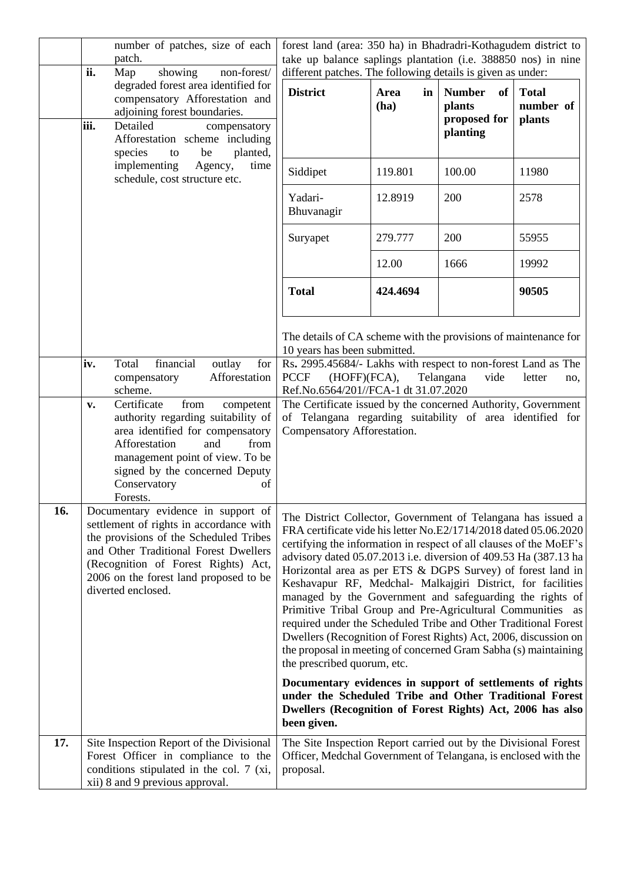|     | number of patches, size of each<br>patch.<br>ii.<br>Map<br>showing<br>non-forest/                                                                                                                                                                                                                                                                 | forest land (area: 350 ha) in Bhadradri-Kothagudem district to<br>take up balance saplings plantation (i.e. 388850 nos) in nine<br>different patches. The following details is given as under:                                                                                                                                                                                                                                                                                                                                                                                                                                                                                                                                                                                                                                                                                                                                                                   |                    |                                                           |                                            |  |
|-----|---------------------------------------------------------------------------------------------------------------------------------------------------------------------------------------------------------------------------------------------------------------------------------------------------------------------------------------------------|------------------------------------------------------------------------------------------------------------------------------------------------------------------------------------------------------------------------------------------------------------------------------------------------------------------------------------------------------------------------------------------------------------------------------------------------------------------------------------------------------------------------------------------------------------------------------------------------------------------------------------------------------------------------------------------------------------------------------------------------------------------------------------------------------------------------------------------------------------------------------------------------------------------------------------------------------------------|--------------------|-----------------------------------------------------------|--------------------------------------------|--|
|     | degraded forest area identified for<br>compensatory Afforestation and<br>adjoining forest boundaries.<br>iii.<br>Detailed<br>compensatory<br>Afforestation scheme including<br>species<br>planted,<br>be<br>to                                                                                                                                    | <b>District</b>                                                                                                                                                                                                                                                                                                                                                                                                                                                                                                                                                                                                                                                                                                                                                                                                                                                                                                                                                  | Area<br>in<br>(ha) | of<br><b>Number</b><br>plants<br>proposed for<br>planting | <b>Total</b><br>number of<br><b>plants</b> |  |
|     | implementing<br>Agency,<br>time<br>schedule, cost structure etc.                                                                                                                                                                                                                                                                                  | Siddipet                                                                                                                                                                                                                                                                                                                                                                                                                                                                                                                                                                                                                                                                                                                                                                                                                                                                                                                                                         | 119.801            | 100.00                                                    | 11980                                      |  |
|     |                                                                                                                                                                                                                                                                                                                                                   | Yadari-<br>Bhuvanagir                                                                                                                                                                                                                                                                                                                                                                                                                                                                                                                                                                                                                                                                                                                                                                                                                                                                                                                                            | 12.8919            | 200                                                       | 2578                                       |  |
|     |                                                                                                                                                                                                                                                                                                                                                   | Suryapet                                                                                                                                                                                                                                                                                                                                                                                                                                                                                                                                                                                                                                                                                                                                                                                                                                                                                                                                                         | 279.777            | 200                                                       | 55955                                      |  |
|     |                                                                                                                                                                                                                                                                                                                                                   |                                                                                                                                                                                                                                                                                                                                                                                                                                                                                                                                                                                                                                                                                                                                                                                                                                                                                                                                                                  | 12.00              | 1666                                                      | 19992                                      |  |
|     |                                                                                                                                                                                                                                                                                                                                                   | <b>Total</b>                                                                                                                                                                                                                                                                                                                                                                                                                                                                                                                                                                                                                                                                                                                                                                                                                                                                                                                                                     | 424.4694           |                                                           | 90505                                      |  |
|     | financial<br>Total<br>outlay<br>iv.<br>for<br>Afforestation<br>compensatory<br>scheme.<br>Certificate<br>from<br>competent<br>v.<br>authority regarding suitability of<br>area identified for compensatory<br>Afforestation<br>and<br>from<br>management point of view. To be<br>signed by the concerned Deputy<br>Conservatory<br>of<br>Forests. | The details of CA scheme with the provisions of maintenance for<br>10 years has been submitted.<br>Rs. 2995.45684/- Lakhs with respect to non-forest Land as The<br><b>PCCF</b><br>(HOFF)(FCA),<br>Telangana<br>vide<br>letter<br>Ref.No.6564/201//FCA-1 dt 31.07.2020<br>The Certificate issued by the concerned Authority, Government<br>of Telangana regarding suitability of area identified for<br>Compensatory Afforestation.                                                                                                                                                                                                                                                                                                                                                                                                                                                                                                                              |                    |                                                           |                                            |  |
| 16. | Documentary evidence in support of<br>settlement of rights in accordance with<br>the provisions of the Scheduled Tribes<br>and Other Traditional Forest Dwellers<br>(Recognition of Forest Rights) Act,<br>2006 on the forest land proposed to be<br>diverted enclosed.                                                                           | The District Collector, Government of Telangana has issued a<br>FRA certificate vide his letter No.E2/1714/2018 dated 05.06.2020<br>certifying the information in respect of all clauses of the MoEF's<br>advisory dated 05.07.2013 i.e. diversion of 409.53 Ha (387.13 ha<br>Horizontal area as per ETS & DGPS Survey) of forest land in<br>Keshavapur RF, Medchal- Malkajgiri District, for facilities<br>managed by the Government and safeguarding the rights of<br>Primitive Tribal Group and Pre-Agricultural Communities as<br>required under the Scheduled Tribe and Other Traditional Forest<br>Dwellers (Recognition of Forest Rights) Act, 2006, discussion on<br>the proposal in meeting of concerned Gram Sabha (s) maintaining<br>the prescribed quorum, etc.<br>Documentary evidences in support of settlements of rights<br>under the Scheduled Tribe and Other Traditional Forest<br>Dwellers (Recognition of Forest Rights) Act, 2006 has also |                    |                                                           |                                            |  |
| 17. | Site Inspection Report of the Divisional<br>Forest Officer in compliance to the<br>conditions stipulated in the col. 7 (xi,<br>xii) 8 and 9 previous approval.                                                                                                                                                                                    | been given.<br>The Site Inspection Report carried out by the Divisional Forest<br>Officer, Medchal Government of Telangana, is enclosed with the<br>proposal.                                                                                                                                                                                                                                                                                                                                                                                                                                                                                                                                                                                                                                                                                                                                                                                                    |                    |                                                           |                                            |  |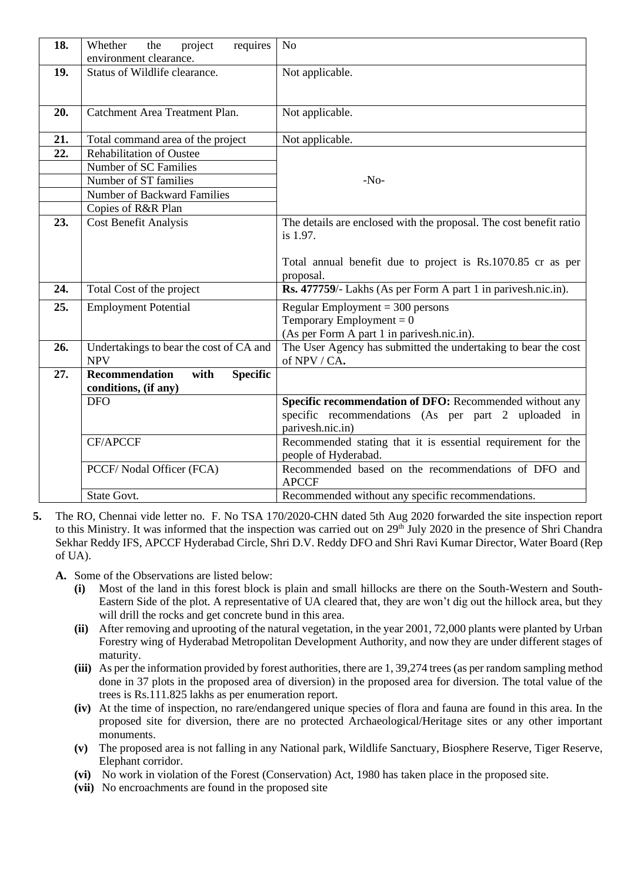| 18. | project<br>requires<br>Whether<br>the<br>environment clearance.          | N <sub>o</sub>                                                                                                                                |
|-----|--------------------------------------------------------------------------|-----------------------------------------------------------------------------------------------------------------------------------------------|
| 19. | Status of Wildlife clearance.                                            | Not applicable.                                                                                                                               |
| 20. | Catchment Area Treatment Plan.                                           | Not applicable.                                                                                                                               |
| 21. | Total command area of the project                                        | Not applicable.                                                                                                                               |
| 22. | <b>Rehabilitation of Oustee</b>                                          |                                                                                                                                               |
|     | Number of SC Families                                                    |                                                                                                                                               |
|     | Number of ST families                                                    | $-No-$                                                                                                                                        |
|     | Number of Backward Families                                              |                                                                                                                                               |
|     | Copies of R&R Plan                                                       |                                                                                                                                               |
| 23. | <b>Cost Benefit Analysis</b>                                             | The details are enclosed with the proposal. The cost benefit ratio<br>is 1.97.<br>Total annual benefit due to project is Rs.1070.85 cr as per |
|     |                                                                          | proposal.                                                                                                                                     |
| 24. | Total Cost of the project                                                | Rs. 477759/- Lakhs (As per Form A part 1 in parivesh.nic.in).                                                                                 |
| 25. | <b>Employment Potential</b>                                              | Regular Employment = $300$ persons                                                                                                            |
|     |                                                                          | Temporary Employment = $0$                                                                                                                    |
|     |                                                                          | (As per Form A part 1 in parivesh.nic.in).                                                                                                    |
| 26. | Undertakings to bear the cost of CA and<br><b>NPV</b>                    | The User Agency has submitted the undertaking to bear the cost<br>of NPV / CA.                                                                |
| 27. | <b>Recommendation</b><br>with<br><b>Specific</b><br>conditions, (if any) |                                                                                                                                               |
|     | <b>DFO</b>                                                               | Specific recommendation of DFO: Recommended without any<br>specific recommendations (As per part 2 uploaded in                                |
|     |                                                                          | parivesh.nic.in)                                                                                                                              |
|     | <b>CF/APCCF</b>                                                          | Recommended stating that it is essential requirement for the<br>people of Hyderabad.                                                          |
|     | PCCF/ Nodal Officer (FCA)                                                | Recommended based on the recommendations of DFO and<br><b>APCCF</b>                                                                           |
|     | <b>State Govt.</b>                                                       | Recommended without any specific recommendations.                                                                                             |

- **5.** The RO, Chennai vide letter no. F. No TSA 170/2020-CHN dated 5th Aug 2020 forwarded the site inspection report to this Ministry. It was informed that the inspection was carried out on 29<sup>th</sup> July 2020 in the presence of Shri Chandra Sekhar Reddy IFS, APCCF Hyderabad Circle, Shri D.V. Reddy DFO and Shri Ravi Kumar Director, Water Board (Rep of UA).
	- **A.** Some of the Observations are listed below:
		- **(i)** Most of the land in this forest block is plain and small hillocks are there on the South-Western and South-Eastern Side of the plot. A representative of UA cleared that, they are won't dig out the hillock area, but they will drill the rocks and get concrete bund in this area.
		- **(ii)** After removing and uprooting of the natural vegetation, in the year 2001, 72,000 plants were planted by Urban Forestry wing of Hyderabad Metropolitan Development Authority, and now they are under different stages of maturity.
		- **(iii)** As per the information provided by forest authorities, there are 1, 39,274 trees (as per random sampling method done in 37 plots in the proposed area of diversion) in the proposed area for diversion. The total value of the trees is Rs.111.825 lakhs as per enumeration report.
		- **(iv)** At the time of inspection, no rare/endangered unique species of flora and fauna are found in this area. In the proposed site for diversion, there are no protected Archaeological/Heritage sites or any other important monuments.
		- **(v)** The proposed area is not falling in any National park, Wildlife Sanctuary, Biosphere Reserve, Tiger Reserve, Elephant corridor.
		- **(vi)** No work in violation of the Forest (Conservation) Act, 1980 has taken place in the proposed site.
		- **(vii)** No encroachments are found in the proposed site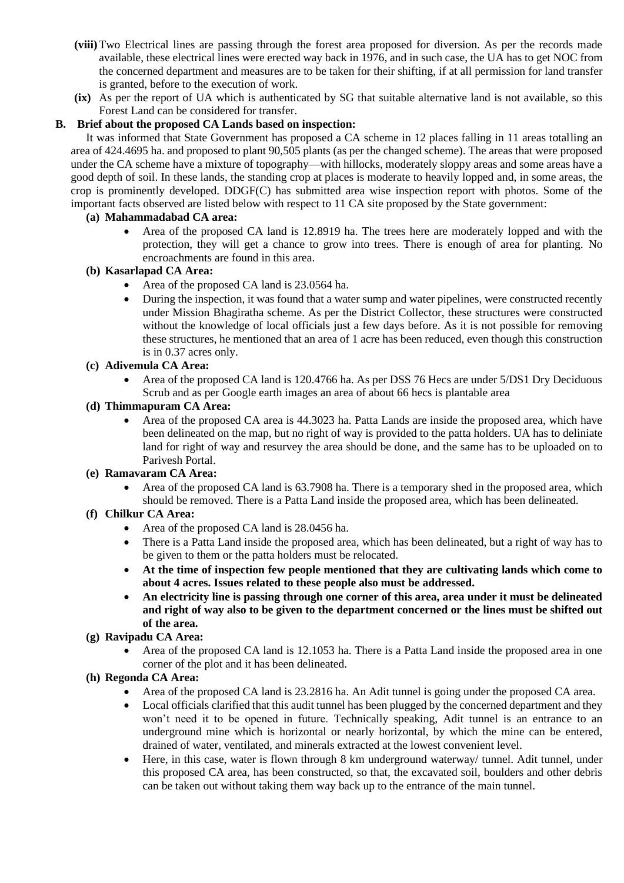- **(viii)**Two Electrical lines are passing through the forest area proposed for diversion. As per the records made available, these electrical lines were erected way back in 1976, and in such case, the UA has to get NOC from the concerned department and measures are to be taken for their shifting, if at all permission for land transfer is granted, before to the execution of work.
- **(ix)** As per the report of UA which is authenticated by SG that suitable alternative land is not available, so this Forest Land can be considered for transfer.

### **B. Brief about the proposed CA Lands based on inspection:**

It was informed that State Government has proposed a CA scheme in 12 places falling in 11 areas totalling an area of 424.4695 ha. and proposed to plant 90,505 plants (as per the changed scheme). The areas that were proposed under the CA scheme have a mixture of topography—with hillocks, moderately sloppy areas and some areas have a good depth of soil. In these lands, the standing crop at places is moderate to heavily lopped and, in some areas, the crop is prominently developed. DDGF(C) has submitted area wise inspection report with photos. Some of the important facts observed are listed below with respect to 11 CA site proposed by the State government:

### **(a) Mahammadabad CA area:**

• Area of the proposed CA land is 12.8919 ha. The trees here are moderately lopped and with the protection, they will get a chance to grow into trees. There is enough of area for planting. No encroachments are found in this area.

### **(b) Kasarlapad CA Area:**

- Area of the proposed CA land is 23.0564 ha.
- During the inspection, it was found that a water sump and water pipelines, were constructed recently under Mission Bhagiratha scheme. As per the District Collector, these structures were constructed without the knowledge of local officials just a few days before. As it is not possible for removing these structures, he mentioned that an area of 1 acre has been reduced, even though this construction is in 0.37 acres only.

#### **(c) Adivemula CA Area:**

• Area of the proposed CA land is 120.4766 ha. As per DSS 76 Hecs are under 5/DS1 Dry Deciduous Scrub and as per Google earth images an area of about 66 hecs is plantable area

#### **(d) Thimmapuram CA Area:**

• Area of the proposed CA area is 44.3023 ha. Patta Lands are inside the proposed area, which have been delineated on the map, but no right of way is provided to the patta holders. UA has to deliniate land for right of way and resurvey the area should be done, and the same has to be uploaded on to Parivesh Portal.

#### **(e) Ramavaram CA Area:**

• Area of the proposed CA land is 63.7908 ha. There is a temporary shed in the proposed area, which should be removed. There is a Patta Land inside the proposed area, which has been delineated.

### **(f) Chilkur CA Area:**

- Area of the proposed CA land is 28.0456 ha.
- There is a Patta Land inside the proposed area, which has been delineated, but a right of way has to be given to them or the patta holders must be relocated.
- **At the time of inspection few people mentioned that they are cultivating lands which come to about 4 acres. Issues related to these people also must be addressed.**
- **An electricity line is passing through one corner of this area, area under it must be delineated and right of way also to be given to the department concerned or the lines must be shifted out of the area.**

### **(g) Ravipadu CA Area:**

• Area of the proposed CA land is 12.1053 ha. There is a Patta Land inside the proposed area in one corner of the plot and it has been delineated.

#### **(h) Regonda CA Area:**

- Area of the proposed CA land is 23.2816 ha. An Adit tunnel is going under the proposed CA area.
- Local officials clarified that this audit tunnel has been plugged by the concerned department and they won't need it to be opened in future. Technically speaking, Adit tunnel is an entrance to an underground mine which is horizontal or nearly horizontal, by which the mine can be entered, drained of water, ventilated, and minerals extracted at the lowest convenient level.
- Here, in this case, water is flown through 8 km underground waterway/ tunnel. Adit tunnel, under this proposed CA area, has been constructed, so that, the excavated soil, boulders and other debris can be taken out without taking them way back up to the entrance of the main tunnel.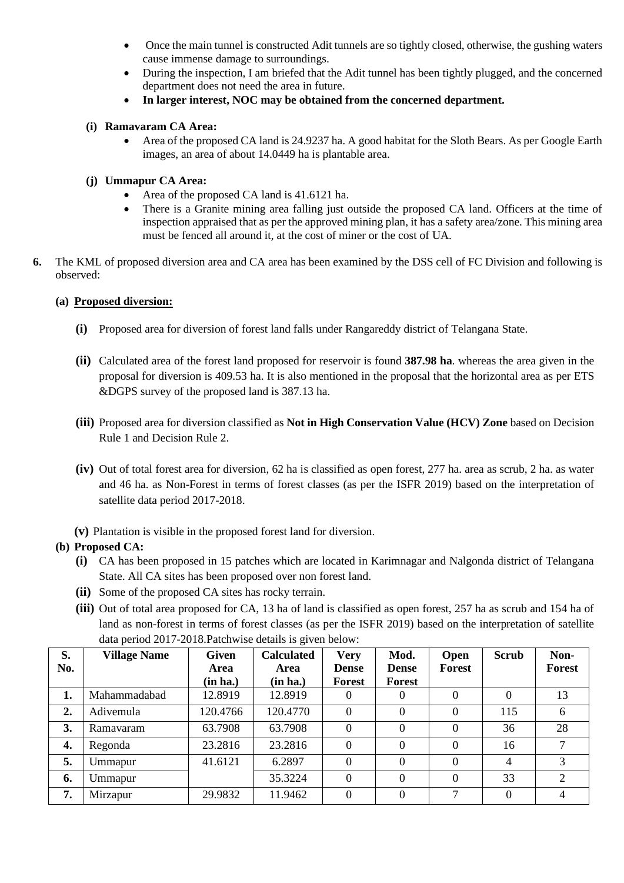- Once the main tunnel is constructed Adit tunnels are so tightly closed, otherwise, the gushing waters cause immense damage to surroundings.
- During the inspection, I am briefed that the Adit tunnel has been tightly plugged, and the concerned department does not need the area in future.
- **In larger interest, NOC may be obtained from the concerned department.**

## **(i) Ramavaram CA Area:**

• Area of the proposed CA land is 24.9237 ha. A good habitat for the Sloth Bears. As per Google Earth images, an area of about 14.0449 ha is plantable area.

# **(j) Ummapur CA Area:**

- Area of the proposed CA land is 41.6121 ha.
- There is a Granite mining area falling just outside the proposed CA land. Officers at the time of inspection appraised that as per the approved mining plan, it has a safety area/zone. This mining area must be fenced all around it, at the cost of miner or the cost of UA.
- **6.** The KML of proposed diversion area and CA area has been examined by the DSS cell of FC Division and following is observed:

# **(a) Proposed diversion:**

- **(i)** Proposed area for diversion of forest land falls under Rangareddy district of Telangana State.
- **(ii)** Calculated area of the forest land proposed for reservoir is found **387.98 ha**. whereas the area given in the proposal for diversion is 409.53 ha. It is also mentioned in the proposal that the horizontal area as per ETS &DGPS survey of the proposed land is 387.13 ha.
- **(iii)** Proposed area for diversion classified as **Not in High Conservation Value (HCV) Zone** based on Decision Rule 1 and Decision Rule 2.
- **(iv)** Out of total forest area for diversion, 62 ha is classified as open forest, 277 ha. area as scrub, 2 ha. as water and 46 ha. as Non-Forest in terms of forest classes (as per the ISFR 2019) based on the interpretation of satellite data period 2017-2018.
- **(v)** Plantation is visible in the proposed forest land for diversion.

### **(b) Proposed CA:**

- **(i)** CA has been proposed in 15 patches which are located in Karimnagar and Nalgonda district of Telangana State. All CA sites has been proposed over non forest land.
- **(ii)** Some of the proposed CA sites has rocky terrain.
- **(iii)** Out of total area proposed for CA, 13 ha of land is classified as open forest, 257 ha as scrub and 154 ha of land as non-forest in terms of forest classes (as per the ISFR 2019) based on the interpretation of satellite data period 2017-2018.Patchwise details is given below:

| S.  | <b>Village Name</b> | <b>Given</b> | <b>Calculated</b> | <b>Very</b>   | Mod.         | <b>Open</b> | <b>Scrub</b> | Non-          |
|-----|---------------------|--------------|-------------------|---------------|--------------|-------------|--------------|---------------|
| No. |                     | Area         | Area              | <b>Dense</b>  | <b>Dense</b> | Forest      |              | <b>Forest</b> |
|     |                     | (in ha.)     | (in ha.)          | <b>Forest</b> | Forest       |             |              |               |
| 1.  | Mahammadabad        | 12.8919      | 12.8919           | $\theta$      |              | 0           | $\theta$     | 13            |
| 2.  | Adivemula           | 120.4766     | 120.4770          | $\theta$      |              | $\theta$    | 115          | 6             |
| 3.  | Ramavaram           | 63.7908      | 63.7908           | $\Omega$      |              | 0           | 36           | 28            |
| 4.  | Regonda             | 23.2816      | 23.2816           | $\theta$      | $\Omega$     | $\theta$    | 16           | $\mathbf{r}$  |
| 5.  | Ummapur             | 41.6121      | 6.2897            | $\theta$      | $\Omega$     | $\theta$    | 4            | 3             |
| 6.  | Ummapur             |              | 35.3224           | $\theta$      | $\Omega$     | $\theta$    | 33           | 2             |
| 7.  | Mirzapur            | 29.9832      | 11.9462           | $\Omega$      | $\Omega$     | 7           | $\theta$     | 4             |